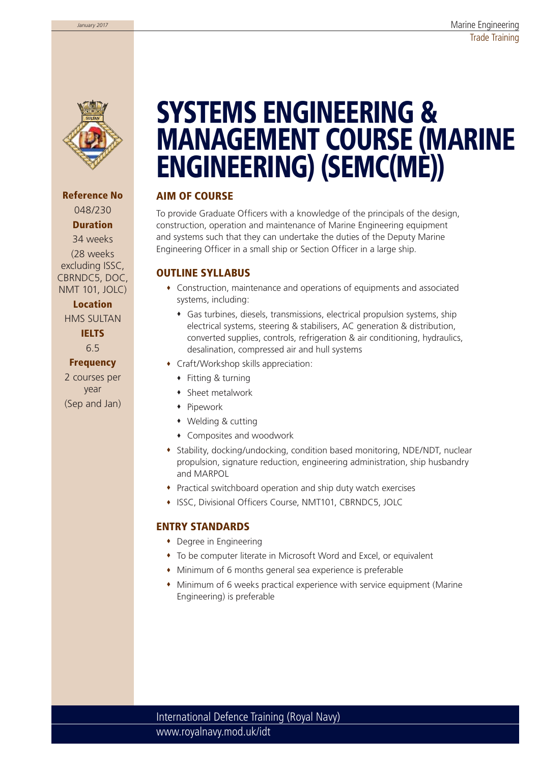

**Reference No** 048/230 **Duration** 34 weeks

(28 weeks excluding ISSC, CBRNDC5, DOC, NMT 101, JOLC)

#### **Location**

HMS SULTAN

**IELTS** 6.5

### **Frequency**

2 courses per year (Sep and Jan)

# **SYSTEMS ENGINEERING & MANAGEMENT COURSE (MARINE ENGINEERING) (SEMC(ME))**

#### **AIM OF COURSE**

To provide Graduate Officers with a knowledge of the principals of the design, construction, operation and maintenance of Marine Engineering equipment and systems such that they can undertake the duties of the Deputy Marine Engineering Officer in a small ship or Section Officer in a large ship.

#### **OUTLINE SYLLABUS**

- Construction, maintenance and operations of equipments and associated systems, including:
	- Gas turbines, diesels, transmissions, electrical propulsion systems, ship electrical systems, steering & stabilisers, AC generation & distribution, converted supplies, controls, refrigeration & air conditioning, hydraulics, desalination, compressed air and hull systems
- Craft/Workshop skills appreciation:
	- ◆ Fitting & turning
	- Sheet metalwork
	- Pipework
	- Welding & cutting
	- Composites and woodwork
- Stability, docking/undocking, condition based monitoring, NDE/NDT, nuclear propulsion, signature reduction, engineering administration, ship husbandry and MARPOL
- Practical switchboard operation and ship duty watch exercises
- ISSC, Divisional Officers Course, NMT101, CBRNDC5, JOLC

#### **ENTRY STANDARDS**

- Degree in Engineering
- To be computer literate in Microsoft Word and Excel, or equivalent
- Minimum of 6 months general sea experience is preferable
- Minimum of 6 weeks practical experience with service equipment (Marine Engineering) is preferable